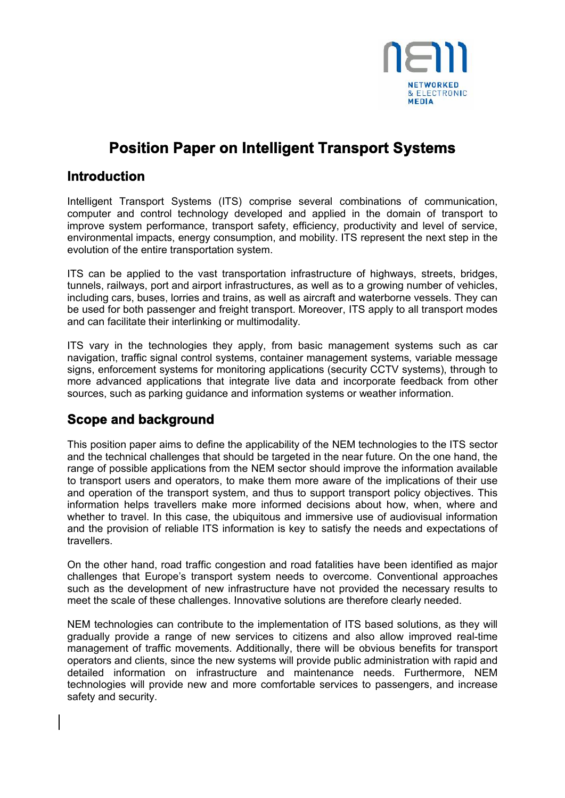

# **Position Paper on Intelligent Transport Systems**

### **Introduction**

Intelligent Transport Systems (ITS) comprise several combinations of communication, computer and control technology developed and applied in the domain of transport to improve system performance, transport safety, efficiency, productivity and level of service, environmental impacts, energy consumption, and mobility. ITS represent the next step in the evolution of the entire transportation system.

ITS can be applied to the vast transportation infrastructure of highways, streets, bridges, tunnels, railways, port and airport infrastructures, as well as to a growing number of vehicles, including cars, buses, lorries and trains, as well as aircraft and waterborne vessels. They can be used for both passenger and freight transport. Moreover, ITS apply to all transport modes and can facilitate their interlinking or multimodality.

ITS vary in the technologies they apply, from basic management systems such as car navigation, traffic signal control systems, container management systems, variable message signs, enforcement systems for monitoring applications (security CCTV systems), through to more advanced applications that integrate live data and incorporate feedback from other sources, such as parking guidance and information systems or weather information.

## **Scope and background**

This position paper aims to define the applicability of the NEM technologies to the ITS sector and the technical challenges that should be targeted in the near future. On the one hand, the range of possible applications from the NEM sector should improve the information available to transport users and operators, to make them more aware of the implications of their use and operation of the transport system, and thus to support transport policy objectives. This information helps travellers make more informed decisions about how, when, where and whether to travel. In this case, the ubiquitous and immersive use of audiovisual information and the provision of reliable ITS information is key to satisfy the needs and expectations of **travellers** 

On the other hand, road traffic congestion and road fatalities have been identified as major challenges that Europe's transport system needs to overcome. Conventional approaches such as the development of new infrastructure have not provided the necessary results to meet the scale of these challenges. Innovative solutions are therefore clearly needed.

NEM technologies can contribute to the implementation of ITS based solutions, as they will gradually provide a range of new services to citizens and also allow improved real-time management of traffic movements. Additionally, there will be obvious benefits for transport operators and clients, since the new systems will provide public administration with rapid and detailed information on infrastructure and maintenance needs. Furthermore, NEM technologies will provide new and more comfortable services to passengers, and increase safety and security.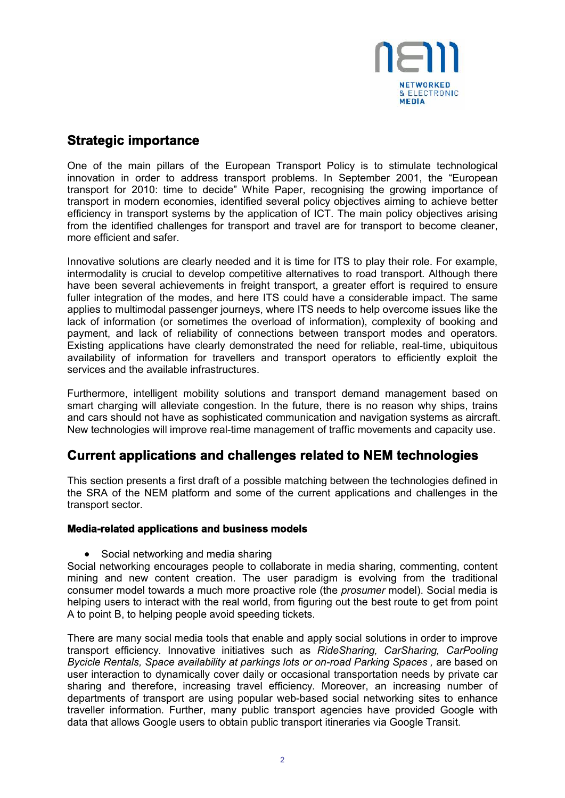

### **Strategic importance**

One of the main pillars of the European Transport Policy is to stimulate technological innovation in order to address transport problems. In September 2001, the "European transport for 2010: time to decide" White Paper, recognising the growing importance of transport in modern economies, identified several policy objectives aiming to achieve better efficiency in transport systems by the application of ICT. The main policy objectives arising from the identified challenges for transport and travel are for transport to become cleaner, more efficient and safer.

Innovative solutions are clearly needed and it is time for ITS to play their role. For example, intermodality is crucial to develop competitive alternatives to road transport. Although there have been several achievements in freight transport, a greater effort is required to ensure fuller integration of the modes, and here ITS could have a considerable impact. The same applies to multimodal passenger journeys, where ITS needs to help overcome issues like the lack of information (or sometimes the overload of information), complexity of booking and payment, and lack of reliability of connections between transport modes and operators. Existing applications have clearly demonstrated the need for reliable, real-time, ubiquitous availability of information for travellers and transport operators to efficiently exploit the services and the available infrastructures.

Furthermore, intelligent mobility solutions and transport demand management based on smart charging will alleviate congestion. In the future, there is no reason why ships, trains and cars should not have as sophisticated communication and navigation systems as aircraft. New technologies will improve real-time management of traffic movements and capacity use.

### **Current applications and challenges related to NEM technologies**

This section presents a first draft of a possible matching between the technologies defined in the SRA of the NEM platform and some of the current applications and challenges in the transport sector.

#### **Media-related applications and business models**

• Social networking and media sharing

Social networking encourages people to collaborate in media sharing, commenting, content mining and new content creation. The user paradigm is evolving from the traditional consumer model towards a much more proactive role (the *prosumer* model). Social media is helping users to interact with the real world, from figuring out the best route to get from point A to point B, to helping people avoid speeding tickets.

There are many social media tools that enable and apply social solutions in order to improve transport efficiency. Innovative initiatives such as *RideSharing, CarSharing, CarPooling Bycicle Rentals, Space availability at parkings lots or on-road Parking Spaces, are based on* user interaction to dynamically cover daily or occasional transportation needs by private car sharing and therefore, increasing travel efficiency. Moreover, an increasing number of departments of transport are using popular web-based social networking sites to enhance traveller information. Further, many public transport agencies have provided Google with data that allows Google users to obtain public transport itineraries via Google Transit.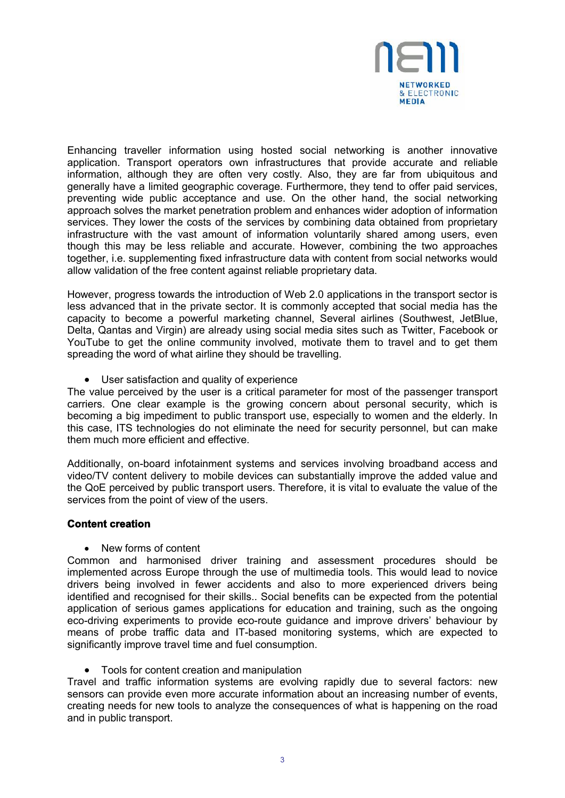

Enhancing traveller information using hosted social networking is another innovative application. Transport operators own infrastructures that provide accurate and reliable information, although they are often very costly. Also, they are far from ubiquitous and generally have a limited geographic coverage. Furthermore, they tend to offer paid services, preventing wide public acceptance and use. On the other hand, the social networking approach solves the market penetration problem and enhances wider adoption of information services. They lower the costs of the services by combining data obtained from proprietary infrastructure with the vast amount of information voluntarily shared among users, even though this may be less reliable and accurate. However, combining the two approaches together, i.e. supplementing fixed infrastructure data with content from social networks would allow validation of the free content against reliable proprietary data.

However, progress towards the introduction of Web 2.0 applications in the transport sector is less advanced that in the private sector. It is commonly accepted that social media has the capacity to become a powerful marketing channel, Several airlines (Southwest, JetBlue, Delta, Qantas and Virgin) are already using social media sites such as Twitter, Facebook or YouTube to get the online community involved, motivate them to travel and to get them spreading the word of what airline they should be travelling.

User satisfaction and quality of experience

The value perceived by the user is a critical parameter for most of the passenger transport carriers. One clear example is the growing concern about personal security, which is becoming a big impediment to public transport use, especially to women and the elderly. In this case, ITS technologies do not eliminate the need for security personnel, but can make them much more efficient and effective.

Additionally, on-board infotainment systems and services involving broadband access and video/TV content delivery to mobile devices can substantially improve the added value and the QoE perceived by public transport users. Therefore, it is vital to evaluate the value of the services from the point of view of the users.

#### **Content creation**

New forms of content

Common and harmonised driver training and assessment procedures should be implemented across Europe through the use of multimedia tools. This would lead to novice drivers being involved in fewer accidents and also to more experienced drivers being identified and recognised for their skills.. Social benefits can be expected from the potential application of serious games applications for education and training, such as the ongoing eco-driving experiments to provide eco-route guidance and improve drivers' behaviour by means of probe traffic data and IT-based monitoring systems, which are expected to significantly improve travel time and fuel consumption.

• Tools for content creation and manipulation

Travel and traffic information systems are evolving rapidly due to several factors: new sensors can provide even more accurate information about an increasing number of events, creating needs for new tools to analyze the consequences of what is happening on the road and in public transport.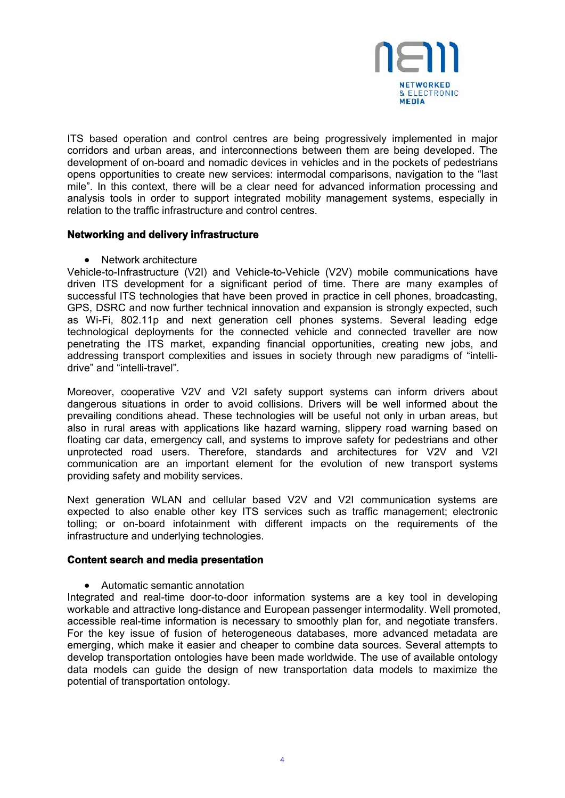

ITS based operation and control centres are being progressively implemented in major corridors and urban areas, and interconnections between them are being developed. The development of on-board and nomadic devices in vehicles and in the pockets of pedestrians opens opportunities to create new services: intermodal comparisons, navigation to the "last mile". In this context, there will be a clear need for advanced information processing and analysis tools in order to support integrated mobility management systems, especially in relation to the traffic infrastructure and control centres.

#### **Networking and delivery infrastructure**

• Network architecture

Vehicle-to-Infrastructure (V2I) and Vehicle-to-Vehicle (V2V) mobile communications have driven ITS development for a significant period of time. There are many examples of successful ITS technologies that have been proved in practice in cell phones, broadcasting, GPS, DSRC and now further technical innovation and expansion is strongly expected, such as Wi-Fi, 802.11p and next generation cell phones systems. Several leading edge technological deployments for the connected vehicle and connected traveller are now penetrating the ITS market, expanding financial opportunities, creating new jobs, and addressing transport complexities and issues in society through new paradigms of "intellidrive" and "intelli-travel".

Moreover, cooperative V2V and V2I safety support systems can inform drivers about dangerous situations in order to avoid collisions. Drivers will be well informed about the prevailing conditions ahead. These technologies will be useful not only in urban areas, but also in rural areas with applications like hazard warning, slippery road warning based on floating car data, emergency call, and systems to improve safety for pedestrians and other unprotected road users. Therefore, standards and architectures for V2V and V2I communication are an important element for the evolution of new transport systems providing safety and mobility services.

Next generation WLAN and cellular based V2V and V2I communication systems are expected to also enable other key ITS services such as traffic management; electronic tolling; or on-board infotainment with different impacts on the requirements of the infrastructure and underlying technologies.

#### **Content search and media presentation**

Automatic semantic annotation

Integrated and real-time door-to-door information systems are a key tool in developing workable and attractive long-distance and European passenger intermodality. Well promoted, accessible real-time information is necessary to smoothly plan for, and negotiate transfers. For the key issue of fusion of heterogeneous databases, more advanced metadata are emerging, which make it easier and cheaper to combine data sources. Several attempts to develop transportation ontologies have been made worldwide. The use of available ontology data models can guide the design of new transportation data models to maximize the potential of transportation ontology.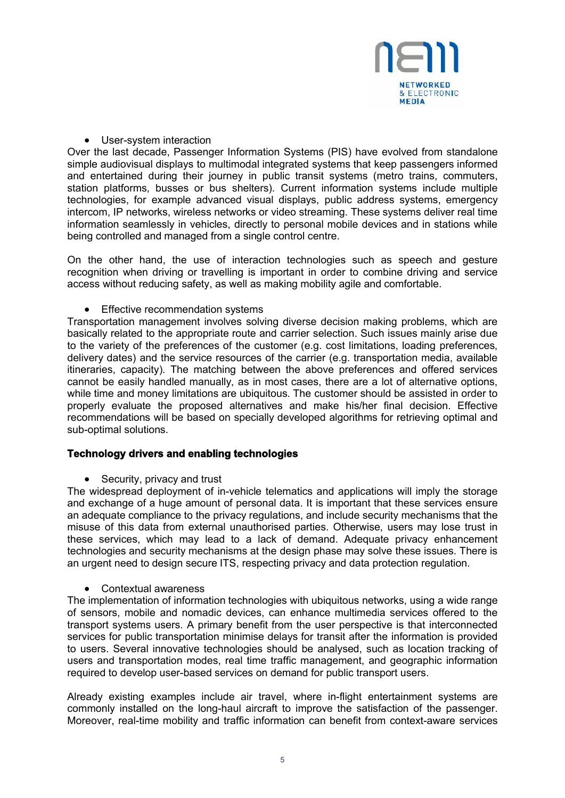

• User-system interaction

Over the last decade, Passenger Information Systems (PIS) have evolved from standalone simple audiovisual displays to multimodal integrated systems that keep passengers informed and entertained during their journey in public transit systems (metro trains, commuters, station platforms, busses or bus shelters). Current information systems include multiple technologies, for example advanced visual displays, public address systems, emergency intercom, IP networks, wireless networks or video streaming. These systems deliver real time information seamlessly in vehicles, directly to personal mobile devices and in stations while being controlled and managed from a single control centre.

On the other hand, the use of interaction technologies such as speech and gesture recognition when driving or travelling is important in order to combine driving and service access without reducing safety, as well as making mobility agile and comfortable.

• Effective recommendation systems

Transportation management involves solving diverse decision making problems, which are basically related to the appropriate route and carrier selection. Such issues mainly arise due to the variety of the preferences of the customer (e.g. cost limitations, loading preferences, delivery dates) and the service resources of the carrier (e.g. transportation media, available itineraries, capacity). The matching between the above preferences and offered services cannot be easily handled manually, as in most cases, there are a lot of alternative options, while time and money limitations are ubiquitous. The customer should be assisted in order to properly evaluate the proposed alternatives and make his/her final decision. Effective recommendations will be based on specially developed algorithms for retrieving optimal and sub-optimal solutions.

#### **Technology drivers and enabling technologies**

• Security, privacy and trust

The widespread deployment of in-vehicle telematics and applications will imply the storage and exchange of a huge amount of personal data. It is important that these services ensure an adequate compliance to the privacy regulations, and include security mechanisms that the misuse of this data from external unauthorised parties. Otherwise, users may lose trust in these services, which may lead to a lack of demand. Adequate privacy enhancement technologies and security mechanisms at the design phase may solve these issues. There is an urgent need to design secure ITS, respecting privacy and data protection regulation.

Contextual awareness

The implementation of information technologies with ubiquitous networks, using a wide range of sensors, mobile and nomadic devices, can enhance multimedia services offered to the transport systems users. A primary benefit from the user perspective is that interconnected services for public transportation minimise delays for transit after the information is provided to users. Several innovative technologies should be analysed, such as location tracking of users and transportation modes, real time traffic management, and geographic information required to develop user-based services on demand for public transport users.

Already existing examples include air travel, where in-flight entertainment systems are commonly installed on the long-haul aircraft to improve the satisfaction of the passenger. Moreover, real-time mobility and traffic information can benefit from context-aware services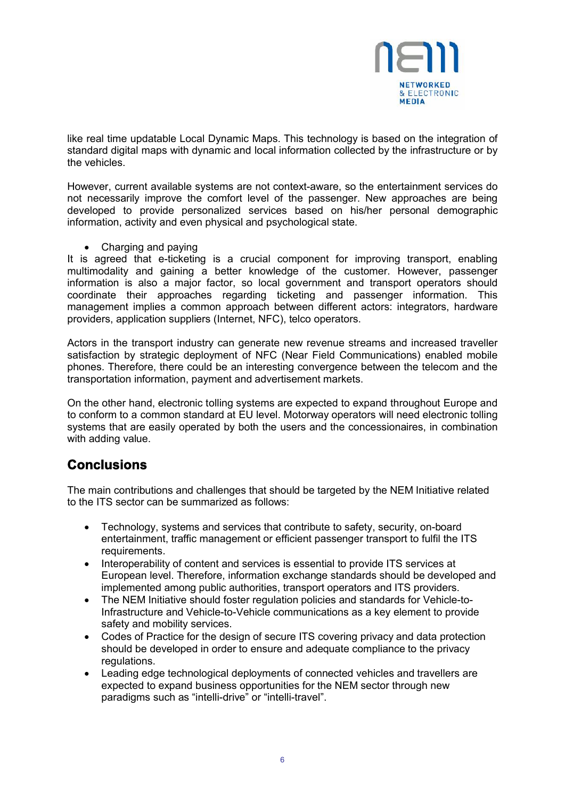

like real time updatable Local Dynamic Maps. This technology is based on the integration of standard digital maps with dynamic and local information collected by the infrastructure or by the vehicles.

However, current available systems are not context-aware, so the entertainment services do not necessarily improve the comfort level of the passenger. New approaches are being developed to provide personalized services based on his/her personal demographic information, activity and even physical and psychological state.

• Charging and paying

It is agreed that e-ticketing is a crucial component for improving transport, enabling multimodality and gaining a better knowledge of the customer. However, passenger information is also a major factor, so local government and transport operators should coordinate their approaches regarding ticketing and passenger information. This management implies a common approach between different actors: integrators, hardware providers, application suppliers (Internet, NFC), telco operators.

Actors in the transport industry can generate new revenue streams and increased traveller satisfaction by strategic deployment of NFC (Near Field Communications) enabled mobile phones. Therefore, there could be an interesting convergence between the telecom and the transportation information, payment and advertisement markets.

On the other hand, electronic tolling systems are expected to expand throughout Europe and to conform to a common standard at EU level. Motorway operators will need electronic tolling systems that are easily operated by both the users and the concessionaires, in combination with adding value.

### **Conclusions**

The main contributions and challenges that should be targeted by the NEM Initiative related to the ITS sector can be summarized as follows:

- Technology, systems and services that contribute to safety, security, on-board entertainment, traffic management or efficient passenger transport to fulfil the ITS requirements.
- Interoperability of content and services is essential to provide ITS services at European level. Therefore, information exchange standards should be developed and implemented among public authorities, transport operators and ITS providers.
- The NEM Initiative should foster regulation policies and standards for Vehicle-to-Infrastructure and Vehicle-to-Vehicle communications as a key element to provide safety and mobility services.
- Codes of Practice for the design of secure ITS covering privacy and data protection should be developed in order to ensure and adequate compliance to the privacy regulations.
- Leading edge technological deployments of connected vehicles and travellers are expected to expand business opportunities for the NEM sector through new paradigms such as "intelli-drive" or "intelli-travel".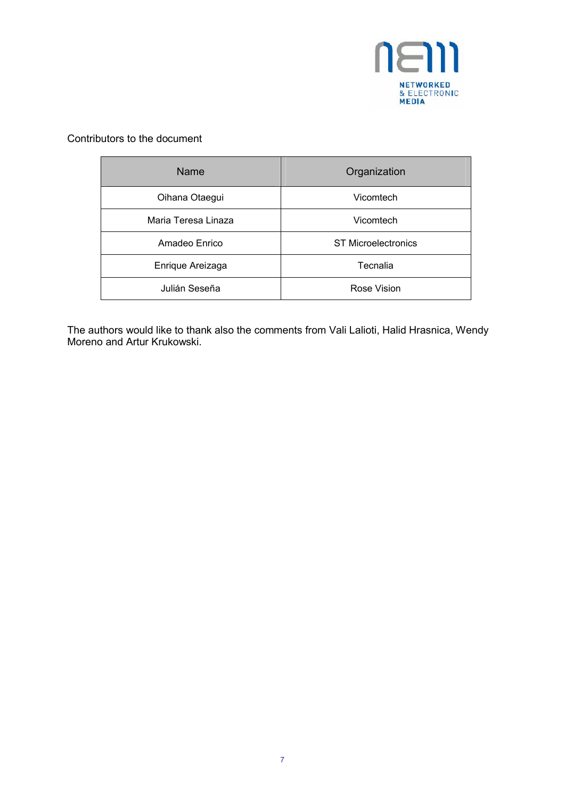

#### Contributors to the document

| <b>Name</b>         | Organization               |
|---------------------|----------------------------|
| Oihana Otaegui      | Vicomtech                  |
| Maria Teresa Linaza | Vicomtech                  |
| Amadeo Enrico       | <b>ST Microelectronics</b> |
| Enrique Areizaga    | Tecnalia                   |
| Julián Seseña       | Rose Vision                |

The authors would like to thank also the comments from Vali Lalioti, Halid Hrasnica, Wendy Moreno and Artur Krukowski.